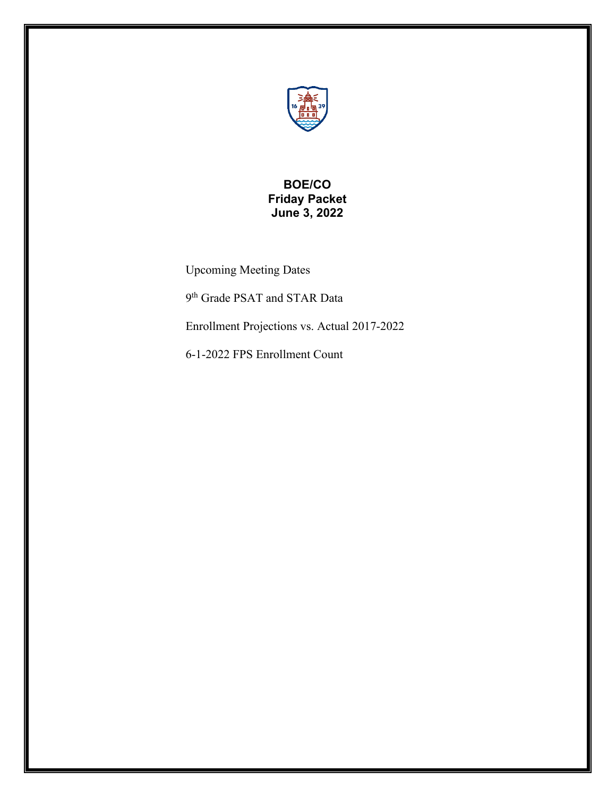

# **BOE/CO Friday Packet June 3, 2022**

Upcoming Meeting Dates

9th Grade PSAT and STAR Data

Enrollment Projections vs. Actual 2017-2022

6-1-2022 FPS Enrollment Count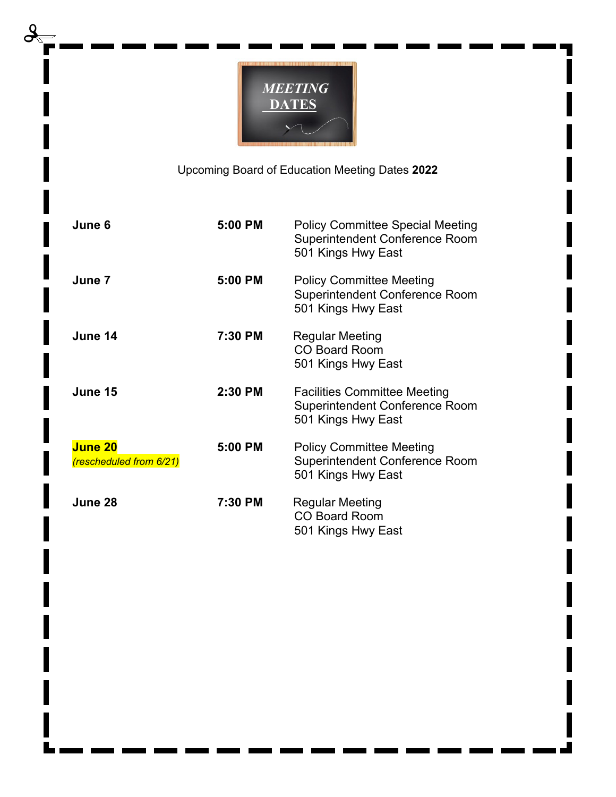

Upcoming Board of Education Meeting Dates **2022**

| June 6                                    | 5:00 PM | <b>Policy Committee Special Meeting</b><br>Superintendent Conference Room<br>501 Kings Hwy East    |
|-------------------------------------------|---------|----------------------------------------------------------------------------------------------------|
| June 7                                    | 5:00 PM | <b>Policy Committee Meeting</b><br><b>Superintendent Conference Room</b><br>501 Kings Hwy East     |
| June 14                                   | 7:30 PM | <b>Regular Meeting</b><br><b>CO Board Room</b><br>501 Kings Hwy East                               |
| June 15                                   | 2:30 PM | <b>Facilities Committee Meeting</b><br><b>Superintendent Conference Room</b><br>501 Kings Hwy East |
| <b>June 20</b><br>(rescheduled from 6/21) | 5:00 PM | <b>Policy Committee Meeting</b><br><b>Superintendent Conference Room</b><br>501 Kings Hwy East     |
| June 28                                   | 7:30 PM | Regular Meeting<br><b>CO Board Room</b><br>501 Kings Hwy East                                      |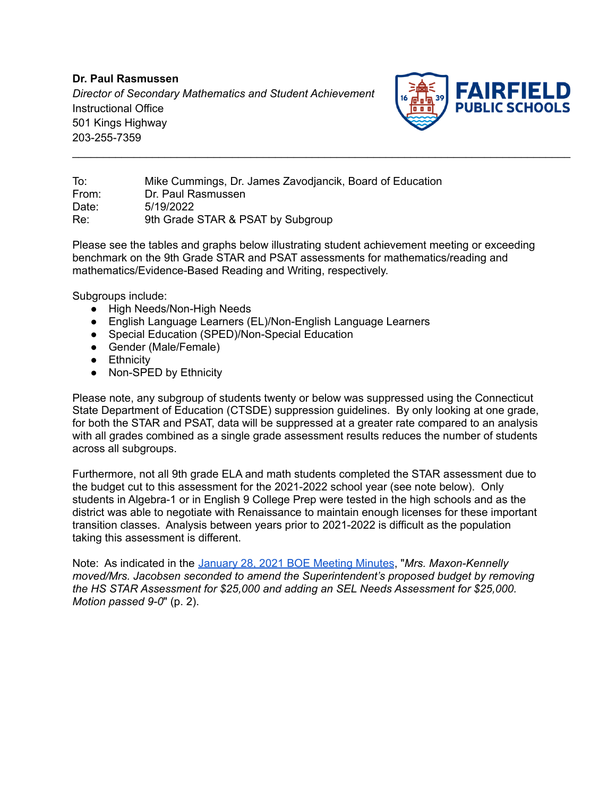**Dr. Paul Rasmussen** *Director of Secondary Mathematics and Student Achievement* Instructional Office 501 Kings Highway 203-255-7359



To: Mike Cummings, Dr. James Zavodjancik, Board of Education From: Dr. Paul Rasmussen Date: 5/19/2022 Re: 9th Grade STAR & PSAT by Subgroup

Please see the tables and graphs below illustrating student achievement meeting or exceeding benchmark on the 9th Grade STAR and PSAT assessments for mathematics/reading and mathematics/Evidence-Based Reading and Writing, respectively.

\_\_\_\_\_\_\_\_\_\_\_\_\_\_\_\_\_\_\_\_\_\_\_\_\_\_\_\_\_\_\_\_\_\_\_\_\_\_\_\_\_\_\_\_\_\_\_\_\_\_\_\_\_\_\_\_\_\_\_\_\_\_\_\_\_\_\_\_\_\_\_\_\_\_\_\_\_\_\_\_\_

Subgroups include:

- High Needs/Non-High Needs
- English Language Learners (EL)/Non-English Language Learners
- Special Education (SPED)/Non-Special Education
- Gender (Male/Female)
- Ethnicity
- Non-SPED by Ethnicity

Please note, any subgroup of students twenty or below was suppressed using the Connecticut State Department of Education (CTSDE) suppression guidelines. By only looking at one grade, for both the STAR and PSAT, data will be suppressed at a greater rate compared to an analysis with all grades combined as a single grade assessment results reduces the number of students across all subgroups.

Furthermore, not all 9th grade ELA and math students completed the STAR assessment due to the budget cut to this assessment for the 2021-2022 school year (see note below). Only students in Algebra-1 or in English 9 College Prep were tested in the high schools and as the district was able to negotiate with Renaissance to maintain enough licenses for these important transition classes. Analysis between years prior to 2021-2022 is difficult as the population taking this assessment is different.

Note: As indicated in the [January](https://boe.fairfieldschools.org/content/uploads/2021/01/1-28-2021-Approved-BoE-Minutesjg.pdf) 28, 2021 BOE Meeting Minutes, "*Mrs. Maxon-Kennelly moved/Mrs. Jacobsen seconded to amend the Superintendent's proposed budget by removing the HS STAR Assessment for \$25,000 and adding an SEL Needs Assessment for \$25,000. Motion passed 9-0*" (p. 2).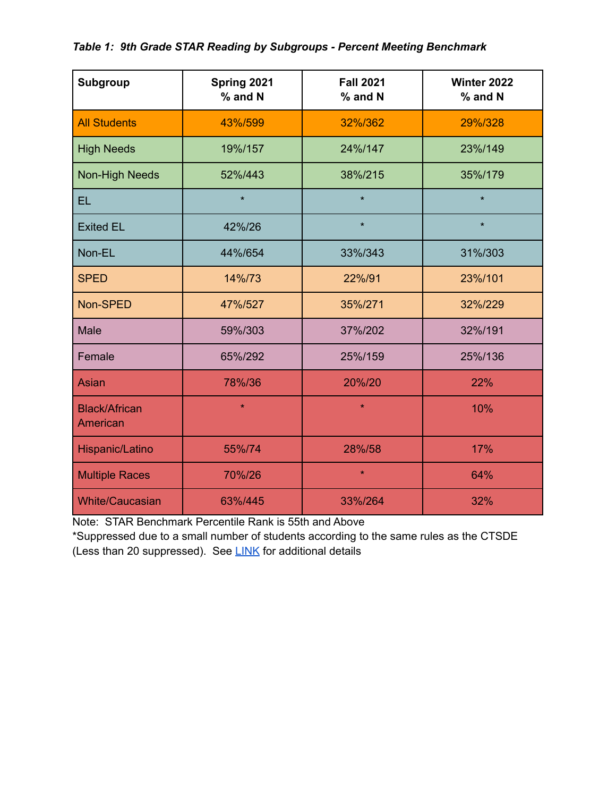## *Table 1: 9th Grade STAR Reading by Subgroups - Percent Meeting Benchmark*

| <b>Subgroup</b>                  | Spring 2021<br>% and N | <b>Fall 2021</b><br>% and N |         |  |  |  |
|----------------------------------|------------------------|-----------------------------|---------|--|--|--|
| <b>All Students</b>              | 43%/599                | 32%/362                     | 29%/328 |  |  |  |
| <b>High Needs</b>                | 19%/157                | 24%/147                     | 23%/149 |  |  |  |
| <b>Non-High Needs</b>            | 52%/443                | 38%/215                     | 35%/179 |  |  |  |
| <b>EL</b>                        | $\star$                | $\star$                     | $\star$ |  |  |  |
| <b>Exited EL</b>                 | 42%/26                 | $\star$                     | $\star$ |  |  |  |
| Non-EL                           | 44%/654                | 33%/343                     | 31%/303 |  |  |  |
| <b>SPED</b>                      | 14%/73                 | 22%/91                      | 23%/101 |  |  |  |
| Non-SPED                         | 47%/527                | 35%/271                     | 32%/229 |  |  |  |
| <b>Male</b>                      | 59%/303                | 37%/202                     | 32%/191 |  |  |  |
| Female                           | 65%/292                | 25%/159                     | 25%/136 |  |  |  |
| <b>Asian</b>                     | 78%/36                 | 20%/20                      | 22%     |  |  |  |
| <b>Black/African</b><br>American | $\star$                | $\star$                     | 10%     |  |  |  |
| Hispanic/Latino                  | 55%/74                 | 28%/58                      | 17%     |  |  |  |
| <b>Multiple Races</b>            | 70%/26                 | $\star$                     | 64%     |  |  |  |
| <b>White/Caucasian</b>           | 63%/445                | 33%/264                     | 32%     |  |  |  |

Note: STAR Benchmark Percentile Rank is 55th and Above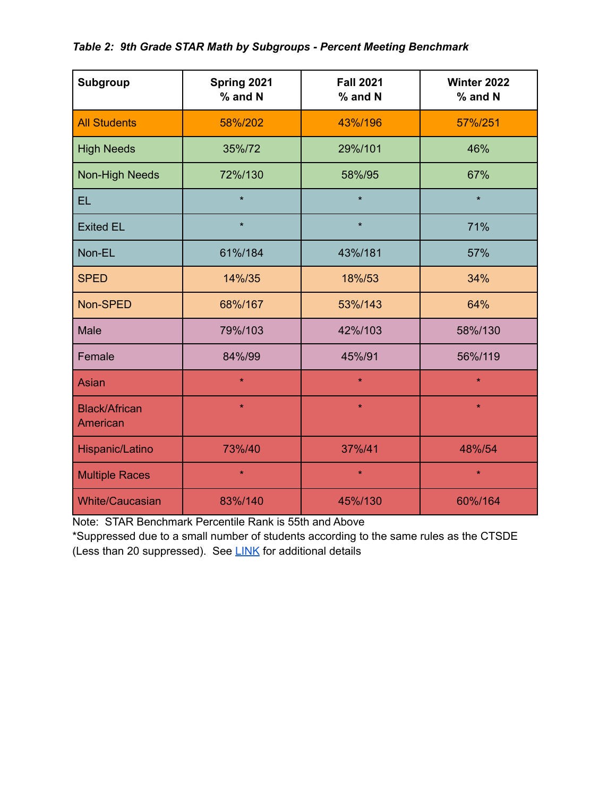## *Table 2: 9th Grade STAR Math by Subgroups - Percent Meeting Benchmark*

| Subgroup                         | Spring 2021<br>% and N | <b>Fall 2021</b><br>% and N | Winter 2022<br>% and N |  |  |
|----------------------------------|------------------------|-----------------------------|------------------------|--|--|
| <b>All Students</b>              | 58%/202                | 43%/196                     | 57%/251                |  |  |
| <b>High Needs</b>                | 35%/72                 | 29%/101                     | 46%                    |  |  |
| <b>Non-High Needs</b>            | 72%/130                | 58%/95                      | 67%                    |  |  |
| <b>EL</b>                        | $\star$                | $\star$                     | $\star$                |  |  |
| <b>Exited EL</b>                 | $\star$                | $\star$                     | 71%                    |  |  |
| Non-EL                           | 61%/184                | 43%/181                     | 57%                    |  |  |
| <b>SPED</b>                      | 14%/35                 | 18%/53                      | 34%                    |  |  |
| Non-SPED                         | 68%/167                | 53%/143                     | 64%                    |  |  |
| <b>Male</b>                      | 79%/103                | 42%/103                     | 58%/130                |  |  |
| Female                           | 84%/99                 | 45%/91                      | 56%/119                |  |  |
| <b>Asian</b>                     | $\star$                | $\star$                     | $\star$                |  |  |
| <b>Black/African</b><br>American | $\star$                | $\star$                     | $\star$                |  |  |
| Hispanic/Latino                  | 73%/40                 | 37%/41                      | 48%/54                 |  |  |
| <b>Multiple Races</b>            | $\star$                | $\star$                     | $\star$                |  |  |
| <b>White/Caucasian</b>           | 83%/140                | 45%/130                     | 60%/164                |  |  |

Note: STAR Benchmark Percentile Rank is 55th and Above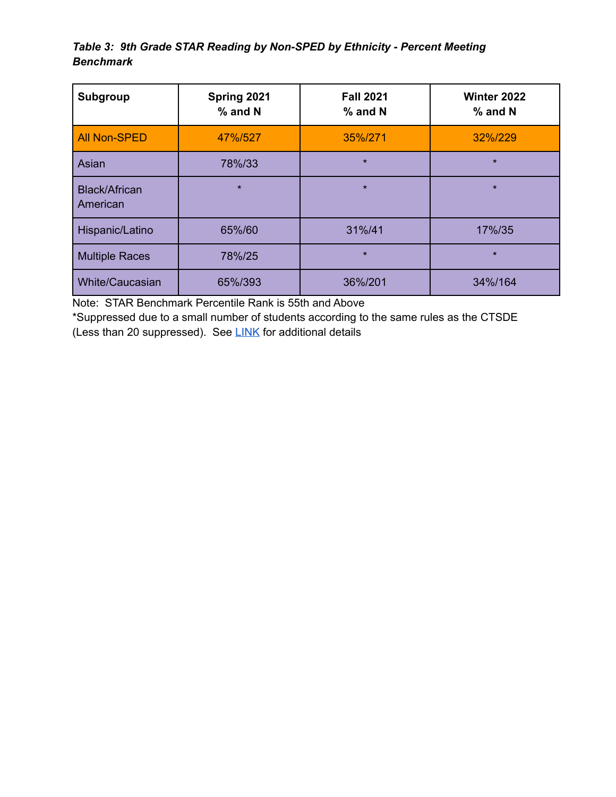# *Table 3: 9th Grade STAR Reading by Non-SPED by Ethnicity - Percent Meeting Benchmark*

| Subgroup                         | Spring 2021<br>$%$ and N | <b>Fall 2021</b><br>$%$ and N | Winter 2022<br>$%$ and N |
|----------------------------------|--------------------------|-------------------------------|--------------------------|
| <b>All Non-SPED</b>              | 47%/527                  | 35%/271                       | 32%/229                  |
| Asian                            | 78%/33                   | $\star$                       | $\star$                  |
| <b>Black/African</b><br>American | $\star$                  | $\star$                       | $\star$                  |
| Hispanic/Latino                  | 65%/60                   | 31%/41                        | 17%/35                   |
| <b>Multiple Races</b>            | 78%/25                   | $\star$                       | $\star$                  |
| <b>White/Caucasian</b>           | 65%/393                  | 36%/201                       | 34%/164                  |

Note: STAR Benchmark Percentile Rank is 55th and Above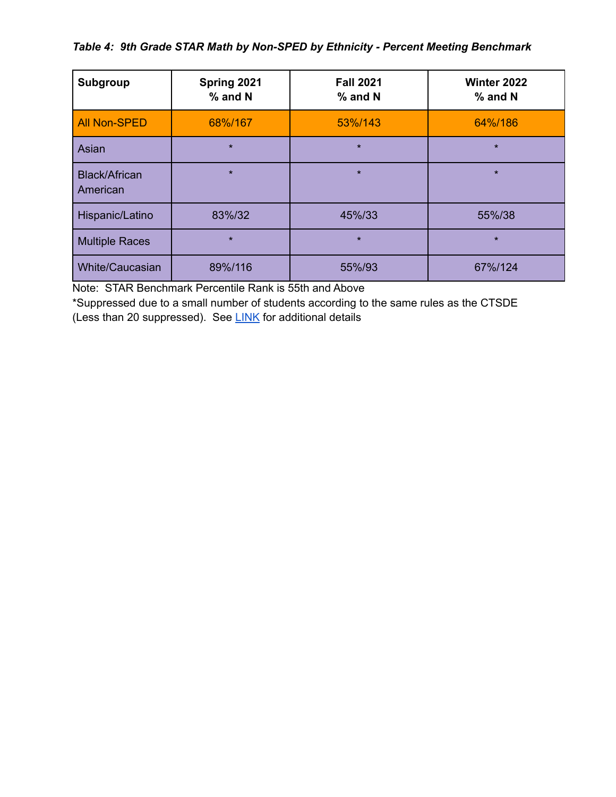## *Table 4: 9th Grade STAR Math by Non-SPED by Ethnicity - Percent Meeting Benchmark*

| Subgroup                         | Spring 2021<br>$%$ and N | <b>Fall 2021</b><br>% and N | <b>Winter 2022</b><br>$%$ and N |
|----------------------------------|--------------------------|-----------------------------|---------------------------------|
| <b>All Non-SPED</b>              | 68%/167                  | 53%/143                     | 64%/186                         |
| Asian                            | $\star$                  | $\star$                     | $\star$                         |
| <b>Black/African</b><br>American | $\star$                  | $\star$                     | $\star$                         |
| Hispanic/Latino                  | 83%/32                   | 45%/33                      | 55%/38                          |
| <b>Multiple Races</b>            | $\star$                  | $\star$                     | $\star$                         |
| <b>White/Caucasian</b>           | 89%/116                  | 55%/93                      | 67%/124                         |

Note: STAR Benchmark Percentile Rank is 55th and Above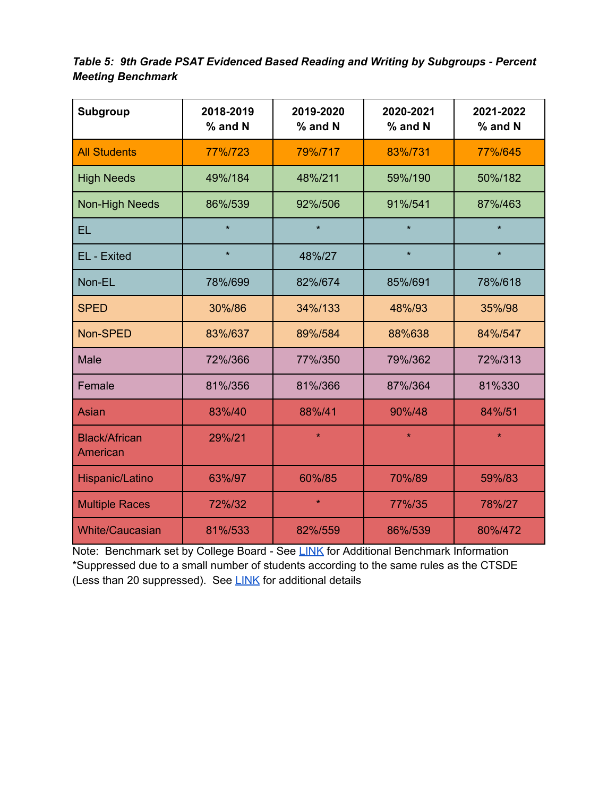*Table 5: 9th Grade PSAT Evidenced Based Reading and Writing by Subgroups - Percent Meeting Benchmark*

| <b>Subgroup</b>                  | 2018-2019<br>% and N          | 2019-2020<br>% and N | 2020-2021<br>% and N | 2021-2022<br>% and N |  |  |
|----------------------------------|-------------------------------|----------------------|----------------------|----------------------|--|--|
| <b>All Students</b>              | 77%/723                       | 79%/717              | 83%/731              | 77%/645              |  |  |
| <b>High Needs</b>                | 49%/184                       | 48%/211              | 59%/190              | 50%/182              |  |  |
| <b>Non-High Needs</b>            | 86%/539                       | 92%/506              | 91%/541              | 87%/463              |  |  |
| <b>EL</b>                        | $\star$                       | $\star$              | $\star$              | $\star$              |  |  |
| EL - Exited                      | $\star$                       | 48%/27               | $\star$              | $\star$              |  |  |
| Non-EL                           | 78%/699                       | 82%/674              | 85%/691              | 78%/618              |  |  |
| <b>SPED</b>                      | 30%/86<br>34%/133             |                      | 48%/93               | 35%/98               |  |  |
| Non-SPED                         | 83%/637                       | 89%/584<br>88%638    |                      | 84%/547              |  |  |
| <b>Male</b>                      | 72%/366                       | 77%/350              | 79%/362              | 72%/313              |  |  |
| Female                           | 81%/356<br>81%/366<br>87%/364 |                      |                      | 81%330               |  |  |
| <b>Asian</b>                     | 83%/40                        | 88%/41               | 90%/48               | 84%/51               |  |  |
| <b>Black/African</b><br>American | 29%/21                        | $\star$              | $\star$              | $\star$              |  |  |
| Hispanic/Latino                  | 63%/97                        | 60%/85               | 70%/89               | 59%/83               |  |  |
| <b>Multiple Races</b>            | 72%/32                        | $\star$              | 77%/35               | 78%/27               |  |  |
| <b>White/Caucasian</b>           | 81%/533                       | 82%/559              | 86%/539              | 80%/472              |  |  |

Note: Benchmark set by College Board - See [LINK](https://satsuite.collegeboard.org/k12-educators/about/understand-scores-benchmarks/benchmarks) for Additional Benchmark Information \*Suppressed due to a small number of students according to the same rules as the CTSDE (Less than 20 suppressed). See [LINK](https://edsight.ct.gov/relatedreports/BDCRE%20Data%20Suppression%20Rules.pdf) for additional details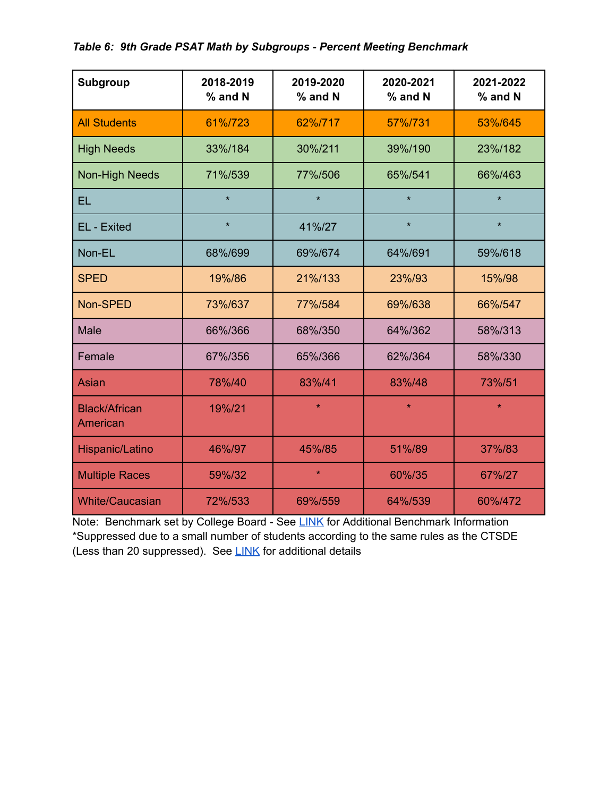## *Table 6: 9th Grade PSAT Math by Subgroups - Percent Meeting Benchmark*

| <b>Subgroup</b>                  | 2018-2019<br>% and N | 2019-2020<br>% and N | 2020-2021<br>% and N | 2021-2022<br>% and N |  |  |
|----------------------------------|----------------------|----------------------|----------------------|----------------------|--|--|
| <b>All Students</b>              | 61%/723              | 62%/717              | 57%/731              | 53%/645              |  |  |
| <b>High Needs</b>                | 33%/184              | 30%/211              | 39%/190              | 23%/182              |  |  |
| <b>Non-High Needs</b>            | 71%/539              | 77%/506              | 65%/541              | 66%/463              |  |  |
| EL                               | $\star$              | $\star$              | $\star$              | $\star$              |  |  |
| EL - Exited                      | $\star$              | 41%/27               | $\star$              | $\star$              |  |  |
| Non-EL                           | 68%/699              | 69%/674              | 64%/691              |                      |  |  |
| <b>SPED</b>                      | 19%/86               | 21%/133              | 23%/93               | 15%/98               |  |  |
| Non-SPED                         | 73%/637              | 77%/584<br>69%/638   |                      | 66%/547              |  |  |
| <b>Male</b>                      | 66%/366              | 68%/350              | 64%/362              | 58%/313              |  |  |
| Female                           | 67%/356              | 65%/366              | 62%/364              | 58%/330              |  |  |
| Asian                            | 78%/40               | 83%/41               | 83%/48               | 73%/51               |  |  |
| <b>Black/African</b><br>American | 19%/21               | $\star$              | $\star$              | $\star$              |  |  |
| Hispanic/Latino                  | 46%/97               | 45%/85               | 51%/89               | 37%/83               |  |  |
| <b>Multiple Races</b>            | 59%/32               | $\star$              | 60%/35               | 67%/27               |  |  |
| <b>White/Caucasian</b>           | 72%/533              | 69%/559              | 64%/539              | 60%/472              |  |  |

Note: Benchmark set by College Board - See [LINK](https://satsuite.collegeboard.org/k12-educators/about/understand-scores-benchmarks/benchmarks) for Additional Benchmark Information \*Suppressed due to a small number of students according to the same rules as the CTSDE (Less than 20 suppressed). See [LINK](https://edsight.ct.gov/relatedreports/BDCRE%20Data%20Suppression%20Rules.pdf) for additional details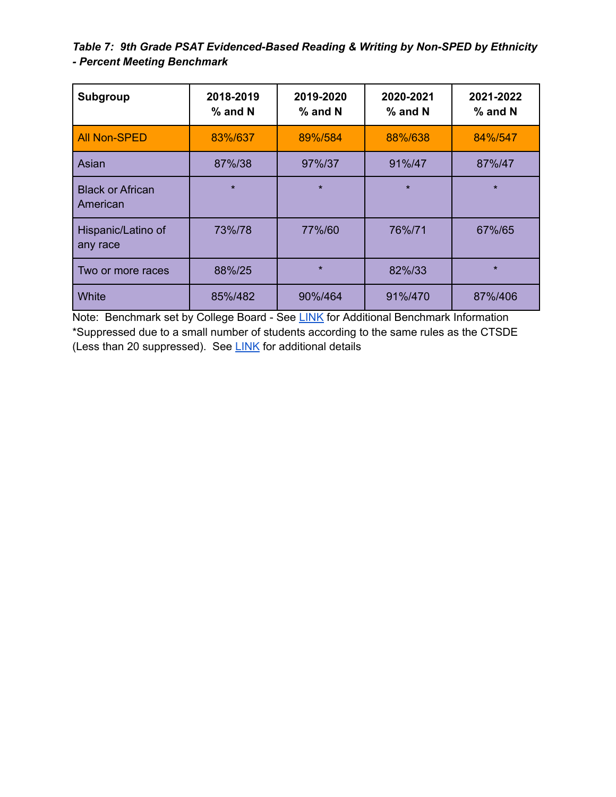*Table 7: 9th Grade PSAT Evidenced-Based Reading & Writing by Non-SPED by Ethnicity - Percent Meeting Benchmark*

| Subgroup                            | 2018-2019<br>$%$ and N | 2019-2020<br>$%$ and N | 2020-2021<br>$%$ and N | 2021-2022<br>$%$ and N |
|-------------------------------------|------------------------|------------------------|------------------------|------------------------|
| <b>All Non-SPED</b>                 | 83%/637                | 89%/584                | 88%/638                | 84%/547                |
| Asian                               | 87%/38                 | 97%/37                 | 91%/47                 | 87%/47                 |
| <b>Black or African</b><br>American | $\star$                | $\star$                | $\star$                | $\star$                |
| Hispanic/Latino of<br>any race      | 73%/78                 | 77%/60                 | 76%/71                 | 67%/65                 |
| Two or more races                   | 88%/25                 | $\star$                | 82%/33                 | $\star$                |
| White                               | 85%/482                | 90%/464                | 91%/470                | 87%/406                |

Note: Benchmark set by College Board - See [LINK](https://satsuite.collegeboard.org/k12-educators/about/understand-scores-benchmarks/benchmarks) for Additional Benchmark Information \*Suppressed due to a small number of students according to the same rules as the CTSDE (Less than 20 suppressed). See [LINK](https://edsight.ct.gov/relatedreports/BDCRE%20Data%20Suppression%20Rules.pdf) for additional details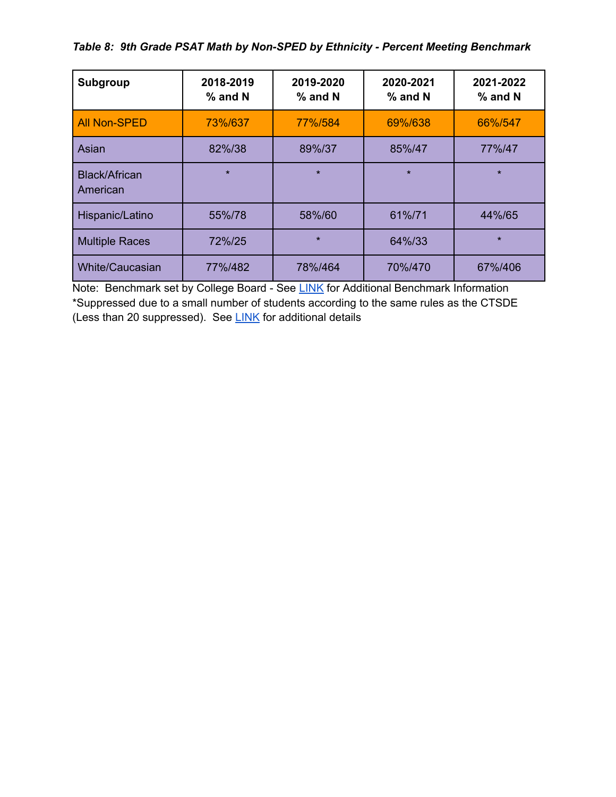*Table 8: 9th Grade PSAT Math by Non-SPED by Ethnicity - Percent Meeting Benchmark*

| <b>Subgroup</b>           | 2018-2019<br>% and N | 2019-2020<br>$%$ and N | 2020-2021<br>$%$ and N | 2021-2022<br>$%$ and N |
|---------------------------|----------------------|------------------------|------------------------|------------------------|
| <b>All Non-SPED</b>       | 73%/637              | 77%/584                | 69%/638                | 66%/547                |
| Asian                     | 82%/38               | 89%/37                 | 85%/47                 | 77%/47                 |
| Black/African<br>American | $\star$              | $\star$                | $\star$                | $\star$                |
| Hispanic/Latino           | 55%/78               | 58%/60                 | 61%/71                 | 44%/65                 |
| <b>Multiple Races</b>     | 72%/25               | $\star$                | 64%/33                 | $\star$                |
| White/Caucasian           | 77%/482              | 78%/464                | 70%/470                | 67%/406                |

Note: Benchmark set by College Board - See [LINK](https://satsuite.collegeboard.org/k12-educators/about/understand-scores-benchmarks/benchmarks) for Additional Benchmark Information \*Suppressed due to a small number of students according to the same rules as the CTSDE (Less than 20 suppressed). See [LINK](https://edsight.ct.gov/relatedreports/BDCRE%20Data%20Suppression%20Rules.pdf) for additional details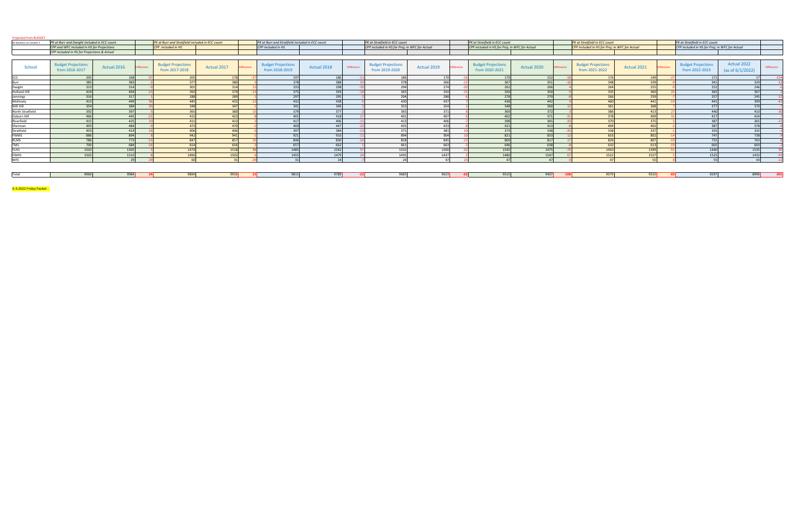| All Numbers on October 1            | PK at Burr and Dwight included in ECC count |             |          | PK at Burr and Stratfield included in ECC count |                                  | PK at Burr and Stratfield included in ECC count |             |                   | PK at Stratfield in ECC count                  |             |                  | PK at Stratfield in ECC count                  |                 |                   | <b>PK at Stratfield in ECC count</b>           |             |                  | <b>PK</b> at Stratfield in ECC count           |                                    |                   |
|-------------------------------------|---------------------------------------------|-------------|----------|-------------------------------------------------|----------------------------------|-------------------------------------------------|-------------|-------------------|------------------------------------------------|-------------|------------------|------------------------------------------------|-----------------|-------------------|------------------------------------------------|-------------|------------------|------------------------------------------------|------------------------------------|-------------------|
|                                     | CPP and WFC included in HS for Projections  |             |          | <b>CPP</b> included in HS                       |                                  | <b>CPP</b> included in HS                       |             |                   | CPP included in HS for Proj; in WFC for Actual |             |                  | CPP included in HS for Proj; in WFC for Actual |                 |                   | CPP included in HS for Proj; in WFC for Actual |             |                  | CPP included in HS for Proj; in WFC for Actual |                                    |                   |
|                                     | CPP included in HS for Projections & Actual |             |          |                                                 |                                  |                                                 |             |                   |                                                |             |                  |                                                |                 |                   |                                                |             |                  |                                                |                                    |                   |
|                                     |                                             |             |          |                                                 |                                  |                                                 |             |                   |                                                |             |                  |                                                |                 |                   |                                                |             |                  |                                                |                                    |                   |
| School                              | <b>Budget Projections</b><br>from 2016-2017 | Actual 2016 | fference | <b>Budget Projections</b><br>from 2017-2018     | Actual 2017<br><b>Difference</b> | <b>Budget Projections</b><br>from 2018-2019     | Actual 2018 | <b>Difference</b> | <b>Budget Projections</b><br>from 2019-2020    | Actual 2019 | <i>ifference</i> | <b>Budget Projections</b><br>from 2020-2021    | Actual 2020     | <b>Difference</b> | <b>Budget Projections</b><br>from 2021-2022    | Actual 2021 | <i>ifference</i> | <b>Budget Projections</b><br>from 2022-2023    | Actual 2022<br>(as of $6/1/2022$ ) | <b>Difference</b> |
| ECC                                 | 205                                         | 168         |          | 205                                             | 179                              |                                                 | 186         |                   | 186                                            | 170         |                  |                                                | 152             |                   |                                                | 149         |                  |                                                |                                    | $-154$            |
| Burr                                | 385                                         | 383         |          |                                                 | 380                              |                                                 | -38         |                   | 378                                            | 366         |                  |                                                | 351             |                   | 348                                            | 339         |                  |                                                | 329                                |                   |
| Dwight                              | 323                                         | 314         |          | 301                                             | 314                              |                                                 | 298         |                   | 294                                            | 274         |                  | 262                                            | 266             |                   | 264                                            | 255         |                  | 25                                             | 246                                |                   |
| <b>Holland Hill</b>                 | 419                                         | 404         |          |                                                 |                                  |                                                 |             |                   | <b>DOC</b>                                     | 350         |                  |                                                | 350             |                   |                                                | 360         |                  |                                                | 367                                |                   |
| Jennings                            | 316                                         | 317         |          | 288                                             | 289                              | 297                                             | 295         |                   | 294                                            | 288         |                  | 77Q                                            | 270             |                   | 266                                            | 259         |                  | 257                                            | 245                                |                   |
| McKinely                            | 413                                         | 449         |          |                                                 | 432                              |                                                 | 438         |                   | 430                                            | 437         |                  |                                                | 442             |                   | 460                                            | 441         |                  | 441                                            | 399                                |                   |
| Mill Hill<br>and the control of the | 2EA                                         | 384         |          |                                                 | 347                              | 244                                             | 346         |                   | 353                                            | 354         |                  |                                                | 360             |                   | 361                                            | 368         |                  | 27                                             | 370                                |                   |
| North Stratfield                    |                                             |             |          |                                                 | 380                              |                                                 |             |                   |                                                | 371         |                  |                                                | 372             |                   |                                                | 413         |                  | 44                                             | 410                                |                   |
| Osborn Hill                         | 466                                         | 445         |          | 415                                             | 423                              | A <sub>01</sub>                                 | 418         |                   | A <sub>01</sub>                                | 407         |                  | 402                                            | 371             |                   | 378                                            | 409         |                  | 41                                             | 424                                |                   |
| Riverfield                          | 415                                         | 425         |          |                                                 | 41 <sup>2</sup>                  |                                                 | 406         |                   | 112                                            | 406         |                  |                                                | 365             |                   |                                                | 275         |                  |                                                | 365                                |                   |
| Sherman                             | 493                                         | 484         |          | 177                                             | 470                              |                                                 | 447         |                   | 431                                            | 423         |                  |                                                | 413             |                   | 404                                            | 402         |                  | 387                                            | 378                                |                   |
| Stratfield                          |                                             | 419         |          | 406                                             | 406                              |                                                 | 384         |                   | 371                                            | 381         |                  |                                                | 338             |                   |                                                | 337         |                  | 33                                             | 332                                |                   |
| <b>FWMS</b>                         | 886                                         | 894         |          | 012                                             | 941                              |                                                 | 910         |                   | 894                                            | 904         |                  | 821                                            | 833             |                   | 816                                            | 802         |                  | 74                                             | 738                                |                   |
| <b>RLMS</b>                         |                                             | 772 1       |          | 847                                             | 857                              |                                                 | 831         |                   | 858                                            | 845         |                  | നെ                                             | 817             |                   |                                                | 807         |                  |                                                | 763                                |                   |
| <b>TMS</b>                          | 700                                         | 684         |          | 654                                             | 656                              | 657                                             | 662         |                   | 661                                            | 663         |                  | 646                                            | 638             |                   | 632                                            | 613         |                  | 605                                            | 603                                |                   |
| <b>FLHS</b>                         | 1502                                        | 1505        |          | 1470                                            | 1518                             | 1485                                            | 1542        |                   | 1532                                           | 1500        |                  | 1545                                           | 1475            |                   | 1450                                           | 1399        |                  | 1440                                           | 1535                               |                   |
| <b>FWHS</b>                         | 1502                                        | 1510        |          | 1496                                            | 1502                             | 1455                                            | 1479        |                   | 1435                                           | 1437        |                  | 1480                                           | 1547            |                   | 1522                                           | 1527        |                  | 1525                                           | 1432                               |                   |
| <b>WFC</b>                          |                                             |             |          |                                                 |                                  |                                                 |             |                   |                                                |             |                  |                                                | 47 <sup>1</sup> |                   |                                                | <b>EE</b>   |                  |                                                | 43                                 |                   |

Total 9960 9984 **24** 9894 9916 **22** 9811 9789 **‐22** 9685 9623 **‐62** 9515 9407 **‐108** 9379 9310 **‐69** 9297 8996 **‐301**

6‐3‐2022 Friday Packet

| $\sim$ $\sim$ $\sim$<br>-- | . . | -- | __<br><b>POOL</b> | . .<br>-- |
|----------------------------|-----|----|-------------------|-----------|
|                            |     |    |                   |           |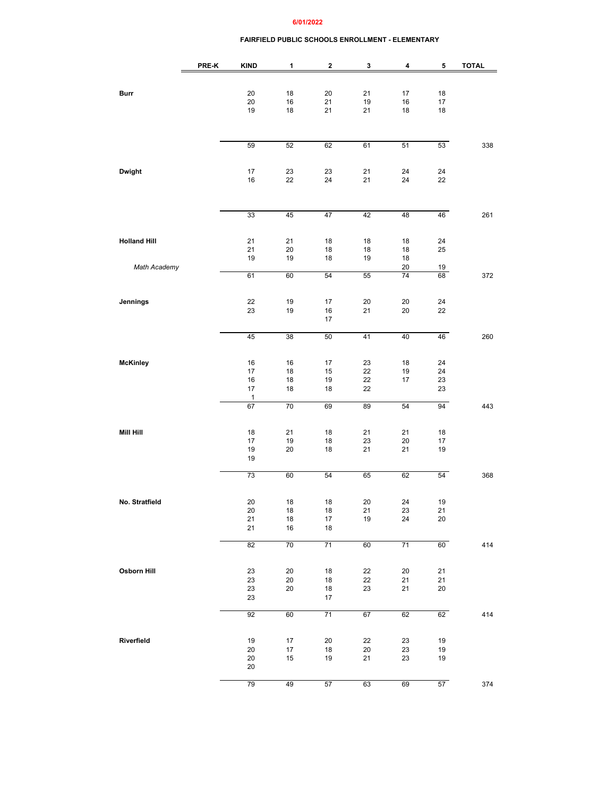### **6/01/2022**

### **FAIRFIELD PUBLIC SCHOOLS ENROLLMENT - ELEMENTARY**

|                     | PRE-K | <b>KIND</b> | 1        | $\mathbf 2$  | 3        | 4               | 5        | <b>TOTAL</b> |
|---------------------|-------|-------------|----------|--------------|----------|-----------------|----------|--------------|
|                     |       |             |          |              |          |                 |          |              |
| Burr                |       | 20          | 18       | 20           | 21       | $17\,$          | 18       |              |
|                     |       | 20          | 16       | 21           | 19       | 16              | 17       |              |
|                     |       | 19          | 18       | 21           | 21       | 18              | 18       |              |
|                     |       |             |          |              |          |                 |          |              |
|                     |       |             |          |              |          |                 |          |              |
|                     |       | 59          | 52       | 62           | 61       | 51              | 53       | 338          |
|                     |       |             |          |              |          |                 |          |              |
|                     |       | 17          | 23       | 23           | 21       | 24              | 24       |              |
| Dwight              |       | 16          | 22       | 24           | 21       | 24              | 22       |              |
|                     |       |             |          |              |          |                 |          |              |
|                     |       |             |          |              |          |                 |          |              |
|                     |       | 33          | 45       | 47           | 42       | 48              | 46       | 261          |
|                     |       |             |          |              |          |                 |          |              |
|                     |       |             |          |              |          |                 |          |              |
| <b>Holland Hill</b> |       | 21<br>21    | 21<br>20 | 18<br>18     | 18<br>18 | 18<br>18        | 24<br>25 |              |
|                     |       | 19          | 19       | 18           | 19       | 18              |          |              |
| Math Academy        |       |             |          |              |          | 20              | 19       |              |
|                     |       | 61          | 60       | 54           | 55       | 74              | 68       | 372          |
|                     |       |             |          |              |          |                 |          |              |
| Jennings            |       | 22          | 19       | 17           | 20       | 20              | 24       |              |
|                     |       | 23          | 19       | 16           | 21       | 20              | 22       |              |
|                     |       |             |          | 17           |          |                 |          |              |
|                     |       | 45          | 38       | 50           | 41       | 40              | 46       | 260          |
|                     |       |             |          |              |          |                 |          |              |
|                     |       |             |          |              |          |                 |          |              |
| McKinley            |       | 16<br>17    | 16<br>18 | 17<br>15     | 23<br>22 | 18<br>19        | 24<br>24 |              |
|                     |       | 16          | 18       | 19           | 22       | 17              | 23       |              |
|                     |       | 17          | 18       | 18           | 22       |                 | 23       |              |
|                     |       | 1           | 70       | 69           | 89       |                 | 94       |              |
|                     |       | 67          |          |              |          | 54              |          | 443          |
|                     |       |             |          |              |          |                 |          |              |
| Mill Hill           |       | 18          | 21       | 18           | 21       | 21              | 18       |              |
|                     |       | 17<br>19    | 19<br>20 | 18<br>18     | 23<br>21 | 20<br>21        | 17<br>19 |              |
|                     |       | 19          |          |              |          |                 |          |              |
|                     |       |             |          |              |          |                 |          |              |
|                     |       | 73          | 60       | 54           | 65       | 62              | 54       | 368          |
|                     |       |             |          |              |          |                 |          |              |
| No. Stratfield      |       | 20          | 18       | 18           | 20       | 24              | 19       |              |
|                     |       | 20          | 18       | 18           | 21       | 23              | 21       |              |
|                     |       | 21<br>21    | 18<br>16 | 17<br>$18\,$ | 19       | 24              | 20       |              |
|                     |       |             |          |              |          |                 |          |              |
|                     |       | 82          | 70       | 71           | 60       | $\overline{71}$ | 60       | 414          |
|                     |       |             |          |              |          |                 |          |              |
| Osborn Hill         |       | 23          | 20       | 18           | 22       | 20              | 21       |              |
|                     |       | 23          | 20       | 18           | 22       | 21              | 21       |              |
|                     |       | 23          | 20       | 18           | 23       | 21              | $20\,$   |              |
|                     |       | 23          |          | 17           |          |                 |          |              |
|                     |       | 92          | 60       | 71           | 67       | 62              | 62       | 414          |
|                     |       |             |          |              |          |                 |          |              |
| Riverfield          |       | $19$        | 17       | 20           | 22       | 23              | 19       |              |
|                     |       | 20          | $17\,$   | 18           | 20       | 23              | 19       |              |
|                     |       | 20          | 15       | 19           | 21       | 23              | 19       |              |
|                     |       | 20          |          |              |          |                 |          |              |
|                     |       | 79          | 49       | 57           | 63       | 69              | 57       | 374          |
|                     |       |             |          |              |          |                 |          |              |